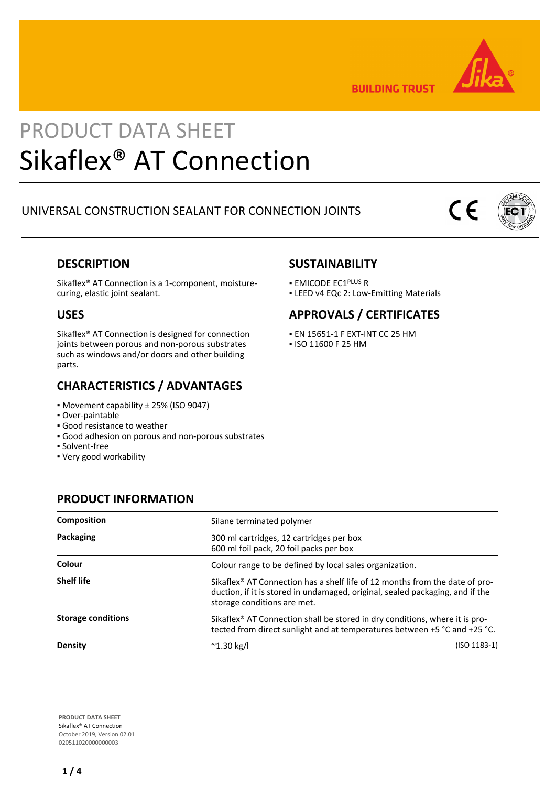

**BUILDING TRUST** 

## PRODUCT DATA SHEET Sikaflex® AT Connection

## UNIVERSAL CONSTRUCTION SEALANT FOR CONNECTION JOINTS

# $\epsilon$



## **DESCRIPTION**

Sikaflex® AT Connection is a 1-component, moisturecuring, elastic joint sealant.

## **USES**

Sikaflex® AT Connection is designed for connection joints between porous and non-porous substrates such as windows and/or doors and other building parts.

## **CHARACTERISTICS / ADVANTAGES**

▪ Movement capability ± 25% (ISO 9047)

**PRODUCT INFORMATION**

- Over-paintable
- Good resistance to weather
- Good adhesion on porous and non-porous substrates
- Solvent-free
- Very good workability

## **SUSTAINABILITY**

- **EMICODE EC1PLUS R**
- **.** LEED v4 EQc 2: Low-Emitting Materials

## **APPROVALS / CERTIFICATES**

- EN 15651-1 F EXT-INT CC 25 HM
- ISO 11600 F 25 HM

| Composition               | Silane terminated polymer                                                           |                                                                                                                                                                          |  |  |
|---------------------------|-------------------------------------------------------------------------------------|--------------------------------------------------------------------------------------------------------------------------------------------------------------------------|--|--|
| Packaging                 | 300 ml cartridges, 12 cartridges per box<br>600 ml foil pack, 20 foil packs per box |                                                                                                                                                                          |  |  |
| Colour                    | Colour range to be defined by local sales organization.                             |                                                                                                                                                                          |  |  |
| <b>Shelf life</b>         | storage conditions are met.                                                         | Sikaflex <sup>®</sup> AT Connection has a shelf life of 12 months from the date of pro-<br>duction, if it is stored in undamaged, original, sealed packaging, and if the |  |  |
| <b>Storage conditions</b> |                                                                                     | Sikaflex <sup>®</sup> AT Connection shall be stored in dry conditions, where it is pro-<br>tected from direct sunlight and at temperatures between +5 °C and +25 °C.     |  |  |
| Density                   | $^{\sim}$ 1.30 kg/l                                                                 | (ISO 1183-1)                                                                                                                                                             |  |  |

**PRODUCT DATA SHEET** Sikaflex® AT Connection October 2019, Version 02.01 020511020000000003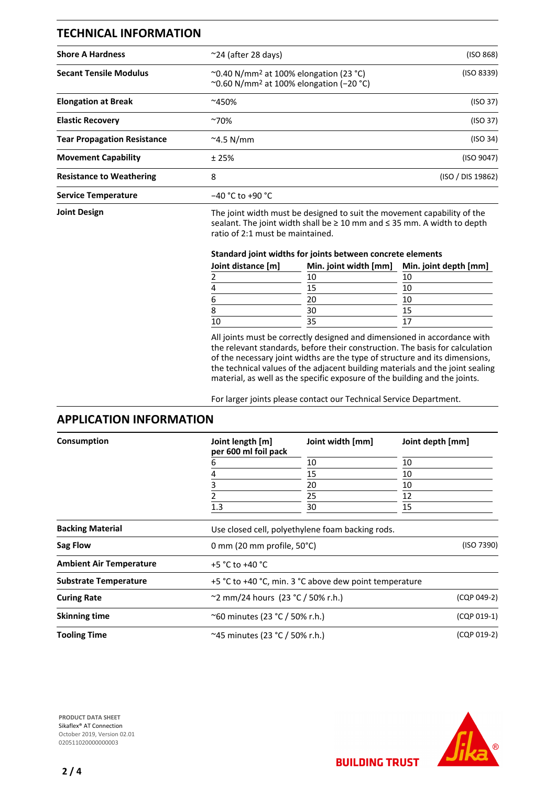| <b>TECHNICAL INFORMATION</b>       |                                                                                                                                                                                                  |                   |  |  |
|------------------------------------|--------------------------------------------------------------------------------------------------------------------------------------------------------------------------------------------------|-------------------|--|--|
| <b>Shore A Hardness</b>            | $\approx$ 24 (after 28 days)                                                                                                                                                                     | (ISO 868)         |  |  |
| <b>Secant Tensile Modulus</b>      | $\sim$ 0.40 N/mm <sup>2</sup> at 100% elongation (23 °C)<br>~0.60 N/mm <sup>2</sup> at 100% elongation (-20 °C)                                                                                  | (ISO 8339)        |  |  |
| <b>Elongation at Break</b>         | ~450%                                                                                                                                                                                            | (ISO 37)          |  |  |
| <b>Elastic Recovery</b>            | $^{\sim}70\%$                                                                                                                                                                                    | (ISO 37)          |  |  |
| <b>Tear Propagation Resistance</b> | $\approx$ 4.5 N/mm                                                                                                                                                                               | (ISO 34)          |  |  |
| <b>Movement Capability</b>         | ±25%                                                                                                                                                                                             | (ISO 9047)        |  |  |
| <b>Resistance to Weathering</b>    | 8                                                                                                                                                                                                | (ISO / DIS 19862) |  |  |
| <b>Service Temperature</b>         | $-40 °C$ to +90 °C                                                                                                                                                                               |                   |  |  |
| <b>Joint Design</b>                | The joint width must be designed to suit the movement capability of the<br>sealant. The joint width shall be $\geq 10$ mm and $\leq 35$ mm. A width to depth<br>ratio of 2:1 must be maintained. |                   |  |  |
|                                    |                                                                                                                                                                                                  |                   |  |  |

#### **Standard joint widths for joints between concrete elements**

| Joint distance [m] | Min. joint width [mm] | Min. joint depth [mm] |
|--------------------|-----------------------|-----------------------|
|                    | 10                    | 10                    |
|                    | 15                    | 10                    |
|                    | 20                    | 10                    |
|                    | 30                    | 15                    |
|                    |                       |                       |

All joints must be correctly designed and dimensioned in accordance with the relevant standards, before their construction. The basis for calculation of the necessary joint widths are the type of structure and its dimensions, the technical values of the adjacent building materials and the joint sealing material, as well as the specific exposure of the building and the joints.

For larger joints please contact our Technical Service Department.

### **APPLICATION INFORMATION**

| Consumption                  | Joint length [m]<br>per 600 ml foil pack                  | Joint width [mm]<br>10<br>15<br>20<br>25<br>30         | Joint depth [mm]<br>10 |                                |                 |                                                    |  |  |  |
|------------------------------|-----------------------------------------------------------|--------------------------------------------------------|------------------------|--------------------------------|-----------------|----------------------------------------------------|--|--|--|
|                              | 6<br>4<br>3<br>1.3                                        |                                                        |                        |                                |                 |                                                    |  |  |  |
|                              |                                                           |                                                        | 10<br>10<br>12<br>15   |                                |                 |                                                    |  |  |  |
|                              |                                                           |                                                        |                        | <b>Backing Material</b>        |                 | Use closed cell, polyethylene foam backing rods.   |  |  |  |
|                              |                                                           |                                                        |                        | Sag Flow                       |                 | (ISO 7390)<br>0 mm (20 mm profile, $50^{\circ}$ C) |  |  |  |
|                              |                                                           |                                                        |                        | <b>Ambient Air Temperature</b> | +5 °C to +40 °C |                                                    |  |  |  |
| <b>Substrate Temperature</b> |                                                           | +5 °C to +40 °C, min. 3 °C above dew point temperature |                        |                                |                 |                                                    |  |  |  |
| <b>Curing Rate</b>           |                                                           | ~2 mm/24 hours $(23 °C / 50 %$ r.h.)<br>(CQP 049-2)    |                        |                                |                 |                                                    |  |  |  |
| <b>Skinning time</b>         | $(CQP 019-1)$<br>$^{\circ}$ 60 minutes (23 °C / 50% r.h.) |                                                        |                        |                                |                 |                                                    |  |  |  |
| <b>Tooling Time</b>          | ~45 minutes (23 °C / 50% r.h.)                            |                                                        | (CQP 019-2)            |                                |                 |                                                    |  |  |  |





**BUILDING TRUST**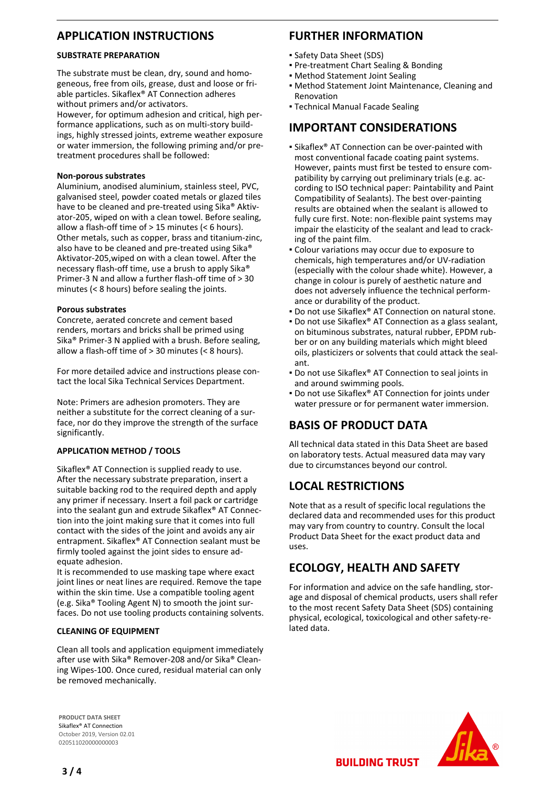## **APPLICATION INSTRUCTIONS**

#### **SUBSTRATE PREPARATION**

The substrate must be clean, dry, sound and homogeneous, free from oils, grease, dust and loose or friable particles. Sikaflex® AT Connection adheres without primers and/or activators.

However, for optimum adhesion and critical, high performance applications, such as on multi-story buildings, highly stressed joints, extreme weather exposure or water immersion, the following priming and/or pretreatment procedures shall be followed:

#### **Non-porous substrates**

Aluminium, anodised aluminium, stainless steel, PVC, galvanised steel, powder coated metals or glazed tiles have to be cleaned and pre-treated using Sika® Aktivator-205, wiped on with a clean towel. Before sealing, allow a flash-off time of > 15 minutes (< 6 hours). Other metals, such as copper, brass and titanium-zinc, also have to be cleaned and pre-treated using Sika® Aktivator-205,wiped on with a clean towel. After the necessary flash-off time, use a brush to apply Sika® Primer-3 N and allow a further flash-off time of > 30 minutes (< 8 hours) before sealing the joints.

#### **Porous substrates**

Concrete, aerated concrete and cement based renders, mortars and bricks shall be primed using Sika® Primer-3 N applied with a brush. Before sealing, allow a flash-off time of > 30 minutes (< 8 hours).

For more detailed advice and instructions please contact the local Sika Technical Services Department.

Note: Primers are adhesion promoters. They are neither a substitute for the correct cleaning of a surface, nor do they improve the strength of the surface significantly.

#### **APPLICATION METHOD / TOOLS**

Sikaflex<sup>®</sup> AT Connection is supplied ready to use. After the necessary substrate preparation, insert a suitable backing rod to the required depth and apply any primer if necessary. Insert a foil pack or cartridge into the sealant gun and extrude Sikaflex® AT Connection into the joint making sure that it comes into full contact with the sides of the joint and avoids any air entrapment. Sikaflex® AT Connection sealant must be firmly tooled against the joint sides to ensure adequate adhesion.

It is recommended to use masking tape where exact joint lines or neat lines are required. Remove the tape within the skin time. Use a compatible tooling agent (e.g. Sika® Tooling Agent N) to smooth the joint surfaces. Do not use tooling products containing solvents.

#### **CLEANING OF EQUIPMENT**

Clean all tools and application equipment immediately after use with Sika® Remover-208 and/or Sika® Cleaning Wipes-100. Once cured, residual material can only be removed mechanically.

#### **PRODUCT DATA SHEET** Sikaflex® AT Connection October 2019, Version 02.01 020511020000000003

## **FURTHER INFORMATION**

- Safety Data Sheet (SDS)
- Pre-treatment Chart Sealing & Bonding
- **Method Statement Joint Sealing**
- **Method Statement Joint Maintenance, Cleaning and** Renovation
- **Technical Manual Facade Sealing**

## **IMPORTANT CONSIDERATIONS**

- **Examble Sikaflex<sup>®</sup>** AT Connection can be over-painted with most conventional facade coating paint systems. However, paints must first be tested to ensure compatibility by carrying out preliminary trials (e.g. according to ISO technical paper: Paintability and Paint Compatibility of Sealants). The best over-painting results are obtained when the sealant is allowed to fully cure first. Note: non-flexible paint systems may impair the elasticity of the sealant and lead to cracking of the paint film.
- Colour variations may occur due to exposure to chemicals, high temperatures and/or UV-radiation (especially with the colour shade white). However, a change in colour is purely of aesthetic nature and does not adversely influence the technical performance or durability of the product.
- Do not use Sikaflex<sup>®</sup> AT Connection on natural stone.
- Do not use Sikaflex® AT Connection as a glass sealant, on bituminous substrates, natural rubber, EPDM rubber or on any building materials which might bleed oils, plasticizers or solvents that could attack the sealant.
- **Do not use Sikaflex® AT Connection to seal joints in** and around swimming pools.
- Do not use Sikaflex® AT Connection for joints under water pressure or for permanent water immersion.

## **BASIS OF PRODUCT DATA**

All technical data stated in this Data Sheet are based on laboratory tests. Actual measured data may vary due to circumstances beyond our control.

## **LOCAL RESTRICTIONS**

Note that as a result of specific local regulations the declared data and recommended uses for this product may vary from country to country. Consult the local Product Data Sheet for the exact product data and uses.

## **ECOLOGY, HEALTH AND SAFETY**

For information and advice on the safe handling, storage and disposal of chemical products, users shall refer to the most recent Safety Data Sheet (SDS) containing physical, ecological, toxicological and other safety-related data.



**BUILDING TRUST**